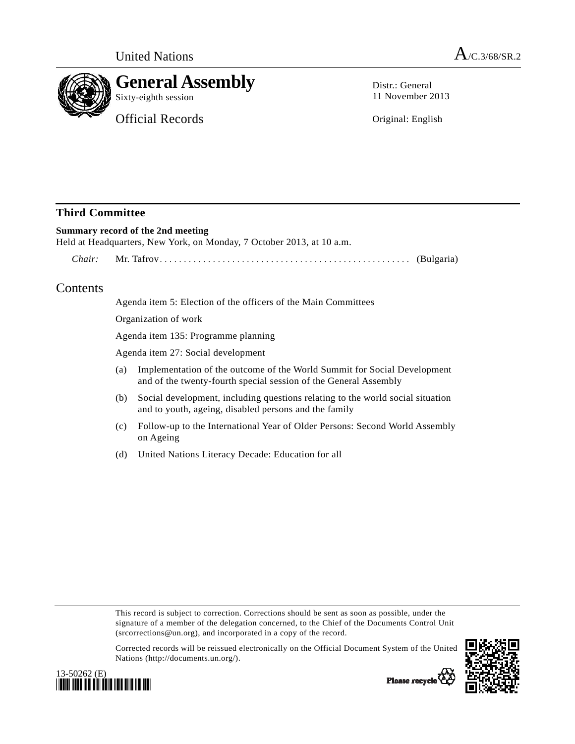

Distr.: General 11 November 2013

Original: English

# **Third Committee**

## **Summary record of the 2nd meeting**

Held at Headquarters, New York, on Monday, 7 October 2013, at 10 a.m.

 *Chair:* Mr. Tafrov.................................................... (Bulgaria)

# Contents

Agenda item 5: Election of the officers of the Main Committees

Organization of work

Agenda item 135: Programme planning

Agenda item 27: Social development

- (a) Implementation of the outcome of the World Summit for Social Development and of the twenty-fourth special session of the General Assembly
- (b) Social development, including questions relating to the world social situation and to youth, ageing, disabled persons and the family
- (c) Follow-up to the International Year of Older Persons: Second World Assembly on Ageing
- (d) United Nations Literacy Decade: Education for all

This record is subject to correction. Corrections should be sent as soon as possible, under the signature of a member of the delegation concerned, to the Chief of the Documents Control Unit (srcorrections@un.org), and incorporated in a copy of the record.

Corrected records will be reissued electronically on the Official Document System of the United Nations (http://documents.un.org/).





Please recycle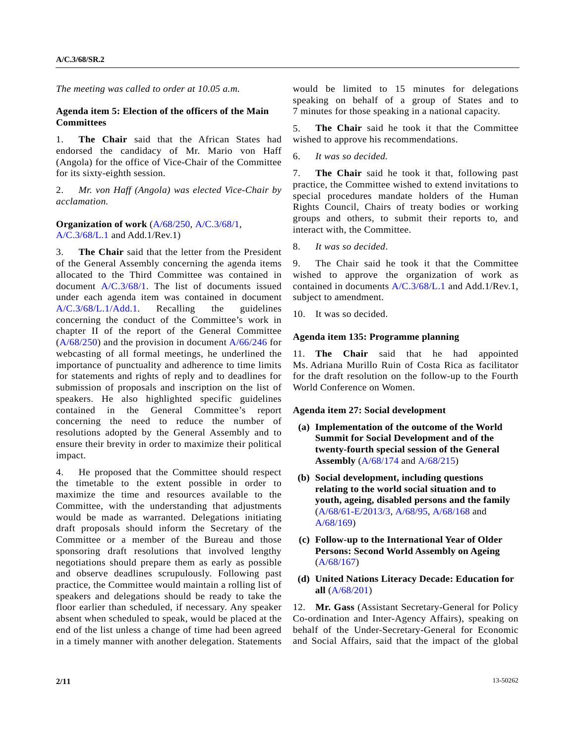*The meeting was called to order at 10.05 a.m.* 

### **Agenda item 5: Election of the officers of the Main Committees**

1. **The Chair** said that the African States had endorsed the candidacy of Mr. Mario von Haff (Angola) for the office of Vice-Chair of the Committee for its sixty-eighth session.

2. *Mr. von Haff (Angola) was elected Vice-Chair by acclamation.* 

**Organization of work** ([A/68/250,](http://undocs.org/A/68/250) [A/C.3/68/1](http://undocs.org/A/C.3/68/1), [A/C.3/68/L.1](http://undocs.org/A/C.3/68/L.1) and Add.1/Rev.1)

3. **The Chair** said that the letter from the President of the General Assembly concerning the agenda items allocated to the Third Committee was contained in document [A/C.3/68/1.](http://undocs.org/A/C.3/68/1) The list of documents issued under each agenda item was contained in document [A/C.3/68/L.1/Add.1.](http://undocs.org/A/C.3/68/L.1/Add.1) Recalling the guidelines concerning the conduct of the Committee's work in chapter II of the report of the General Committee  $(A/68/250)$  and the provision in document  $A/66/246$  for webcasting of all formal meetings, he underlined the importance of punctuality and adherence to time limits for statements and rights of reply and to deadlines for submission of proposals and inscription on the list of speakers. He also highlighted specific guidelines contained in the General Committee's report concerning the need to reduce the number of resolutions adopted by the General Assembly and to ensure their brevity in order to maximize their political impact.

4. He proposed that the Committee should respect the timetable to the extent possible in order to maximize the time and resources available to the Committee, with the understanding that adjustments would be made as warranted. Delegations initiating draft proposals should inform the Secretary of the Committee or a member of the Bureau and those sponsoring draft resolutions that involved lengthy negotiations should prepare them as early as possible and observe deadlines scrupulously. Following past practice, the Committee would maintain a rolling list of speakers and delegations should be ready to take the floor earlier than scheduled, if necessary. Any speaker absent when scheduled to speak, would be placed at the end of the list unless a change of time had been agreed in a timely manner with another delegation. Statements

would be limited to 15 minutes for delegations speaking on behalf of a group of States and to 7 minutes for those speaking in a national capacity.

5. **The Chair** said he took it that the Committee wished to approve his recommendations.

6. *It was so decided.*

7. **The Chair** said he took it that, following past practice, the Committee wished to extend invitations to special procedures mandate holders of the Human Rights Council, Chairs of treaty bodies or working groups and others, to submit their reports to, and interact with, the Committee.

8. *It was so decided*.

9. The Chair said he took it that the Committee wished to approve the organization of work as contained in documents [A/C.3/68/L.1](http://undocs.org/A/C.3/68/L.1) and Add.1/Rev.1, subject to amendment.

10. It was so decided.

### **Agenda item 135: Programme planning**

11. **The Chair** said that he had appointed Ms. Adriana Murillo Ruin of Costa Rica as facilitator for the draft resolution on the follow-up to the Fourth World Conference on Women.

#### **Agenda item 27: Social development**

- **(a) Implementation of the outcome of the World Summit for Social Development and of the twenty-fourth special session of the General Assembly** [\(A/68/174](http://undocs.org/A/68/174) and [A/68/215\)](http://undocs.org/A/68/215)
- **(b) Social development, including questions relating to the world social situation and to youth, ageing, disabled persons and the family**  [\(A/68/61-E/2013/3,](http://undocs.org/A/68/61) [A/68/95,](http://undocs.org/A/68/95) [A/68/168](http://undocs.org/A/68/168) and [A/68/169](http://undocs.org/A/68/169))
- **(c) Follow-up to the International Year of Older Persons: Second World Assembly on Ageing**  [\(A/68/167](http://undocs.org/A/68/167))
- **(d) United Nations Literacy Decade: Education for all** [\(A/68/201\)](http://undocs.org/A/68/201)

12. **Mr. Gass** (Assistant Secretary-General for Policy Co-ordination and Inter-Agency Affairs), speaking on behalf of the Under-Secretary-General for Economic and Social Affairs, said that the impact of the global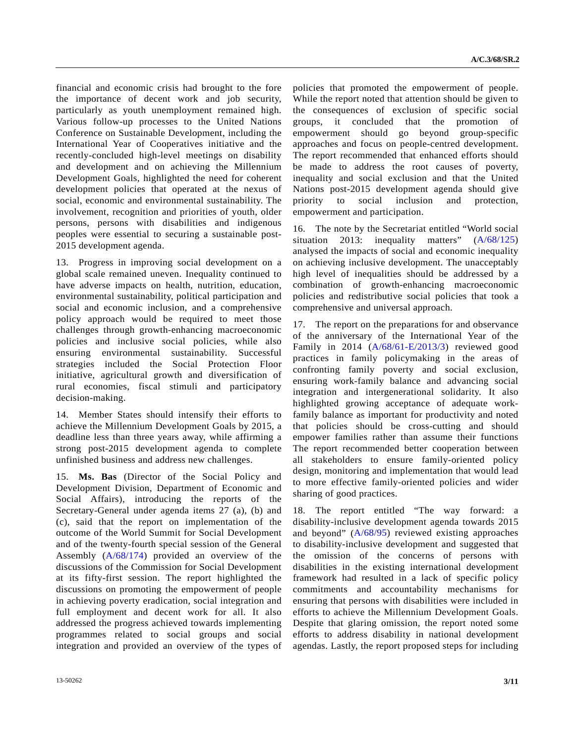financial and economic crisis had brought to the fore the importance of decent work and job security, particularly as youth unemployment remained high. Various follow-up processes to the United Nations Conference on Sustainable Development, including the International Year of Cooperatives initiative and the recently-concluded high-level meetings on disability and development and on achieving the Millennium Development Goals, highlighted the need for coherent development policies that operated at the nexus of social, economic and environmental sustainability. The involvement, recognition and priorities of youth, older persons, persons with disabilities and indigenous peoples were essential to securing a sustainable post-2015 development agenda.

13. Progress in improving social development on a global scale remained uneven. Inequality continued to have adverse impacts on health, nutrition, education, environmental sustainability, political participation and social and economic inclusion, and a comprehensive policy approach would be required to meet those challenges through growth-enhancing macroeconomic policies and inclusive social policies, while also ensuring environmental sustainability. Successful strategies included the Social Protection Floor initiative, agricultural growth and diversification of rural economies, fiscal stimuli and participatory decision-making.

14. Member States should intensify their efforts to achieve the Millennium Development Goals by 2015, a deadline less than three years away, while affirming a strong post-2015 development agenda to complete unfinished business and address new challenges.

15. **Ms. Bas** (Director of the Social Policy and Development Division, Department of Economic and Social Affairs), introducing the reports of the Secretary-General under agenda items 27 (a), (b) and (c), said that the report on implementation of the outcome of the World Summit for Social Development and of the twenty-fourth special session of the General Assembly ([A/68/174](http://undocs.org/A/68/174)) provided an overview of the discussions of the Commission for Social Development at its fifty-first session. The report highlighted the discussions on promoting the empowerment of people in achieving poverty eradication, social integration and full employment and decent work for all. It also addressed the progress achieved towards implementing programmes related to social groups and social integration and provided an overview of the types of

policies that promoted the empowerment of people. While the report noted that attention should be given to the consequences of exclusion of specific social groups, it concluded that the promotion of empowerment should go beyond group-specific approaches and focus on people-centred development. The report recommended that enhanced efforts should be made to address the root causes of poverty, inequality and social exclusion and that the United Nations post-2015 development agenda should give priority to social inclusion and protection, empowerment and participation.

16. The note by the Secretariat entitled "World social situation 2013: inequality matters" ([A/68/125\)](http://undocs.org/A/68/125) analysed the impacts of social and economic inequality on achieving inclusive development. The unacceptably high level of inequalities should be addressed by a combination of growth-enhancing macroeconomic policies and redistributive social policies that took a comprehensive and universal approach.

17. The report on the preparations for and observance of the anniversary of the International Year of the Family in 2014 ([A/68/61-E/2013/3](http://undocs.org/A/68/61)) reviewed good practices in family policymaking in the areas of confronting family poverty and social exclusion, ensuring work-family balance and advancing social integration and intergenerational solidarity. It also highlighted growing acceptance of adequate workfamily balance as important for productivity and noted that policies should be cross-cutting and should empower families rather than assume their functions The report recommended better cooperation between all stakeholders to ensure family-oriented policy design, monitoring and implementation that would lead to more effective family-oriented policies and wider sharing of good practices.

18. The report entitled "The way forward: a disability-inclusive development agenda towards 2015 and beyond" ([A/68/95](http://undocs.org/A/68/95)) reviewed existing approaches to disability-inclusive development and suggested that the omission of the concerns of persons with disabilities in the existing international development framework had resulted in a lack of specific policy commitments and accountability mechanisms for ensuring that persons with disabilities were included in efforts to achieve the Millennium Development Goals. Despite that glaring omission, the report noted some efforts to address disability in national development agendas. Lastly, the report proposed steps for including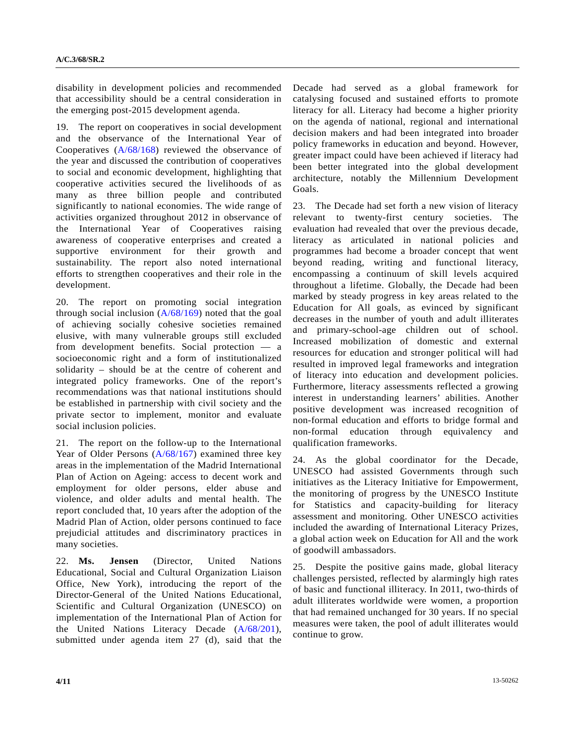disability in development policies and recommended that accessibility should be a central consideration in the emerging post-2015 development agenda.

19. The report on cooperatives in social development and the observance of the International Year of Cooperatives [\(A/68/168\)](http://undocs.org/A/68/168) reviewed the observance of the year and discussed the contribution of cooperatives to social and economic development, highlighting that cooperative activities secured the livelihoods of as many as three billion people and contributed significantly to national economies. The wide range of activities organized throughout 2012 in observance of the International Year of Cooperatives raising awareness of cooperative enterprises and created a supportive environment for their growth and sustainability. The report also noted international efforts to strengthen cooperatives and their role in the development.

20. The report on promoting social integration through social inclusion  $(A/68/169)$  noted that the goal of achieving socially cohesive societies remained elusive, with many vulnerable groups still excluded from development benefits. Social protection — a socioeconomic right and a form of institutionalized solidarity – should be at the centre of coherent and integrated policy frameworks. One of the report's recommendations was that national institutions should be established in partnership with civil society and the private sector to implement, monitor and evaluate social inclusion policies.

21. The report on the follow-up to the International Year of Older Persons [\(A/68/167](http://undocs.org/A/68/167)) examined three key areas in the implementation of the Madrid International Plan of Action on Ageing: access to decent work and employment for older persons, elder abuse and violence, and older adults and mental health. The report concluded that, 10 years after the adoption of the Madrid Plan of Action, older persons continued to face prejudicial attitudes and discriminatory practices in many societies.

22. **Ms. Jensen** (Director, United Nations Educational, Social and Cultural Organization Liaison Office, New York), introducing the report of the Director-General of the United Nations Educational, Scientific and Cultural Organization (UNESCO) on implementation of the International Plan of Action for the United Nations Literacy Decade ([A/68/201\)](http://undocs.org/A/68/201), submitted under agenda item 27 (d), said that the Decade had served as a global framework for catalysing focused and sustained efforts to promote literacy for all. Literacy had become a higher priority on the agenda of national, regional and international decision makers and had been integrated into broader policy frameworks in education and beyond. However, greater impact could have been achieved if literacy had been better integrated into the global development architecture, notably the Millennium Development Goals.

23. The Decade had set forth a new vision of literacy relevant to twenty-first century societies. The evaluation had revealed that over the previous decade, literacy as articulated in national policies and programmes had become a broader concept that went beyond reading, writing and functional literacy, encompassing a continuum of skill levels acquired throughout a lifetime. Globally, the Decade had been marked by steady progress in key areas related to the Education for All goals, as evinced by significant decreases in the number of youth and adult illiterates and primary-school-age children out of school. Increased mobilization of domestic and external resources for education and stronger political will had resulted in improved legal frameworks and integration of literacy into education and development policies. Furthermore, literacy assessments reflected a growing interest in understanding learners' abilities. Another positive development was increased recognition of non-formal education and efforts to bridge formal and non-formal education through equivalency and qualification frameworks.

24. As the global coordinator for the Decade, UNESCO had assisted Governments through such initiatives as the Literacy Initiative for Empowerment, the monitoring of progress by the UNESCO Institute for Statistics and capacity-building for literacy assessment and monitoring. Other UNESCO activities included the awarding of International Literacy Prizes, a global action week on Education for All and the work of goodwill ambassadors.

25. Despite the positive gains made, global literacy challenges persisted, reflected by alarmingly high rates of basic and functional illiteracy. In 2011, two-thirds of adult illiterates worldwide were women, a proportion that had remained unchanged for 30 years. If no special measures were taken, the pool of adult illiterates would continue to grow.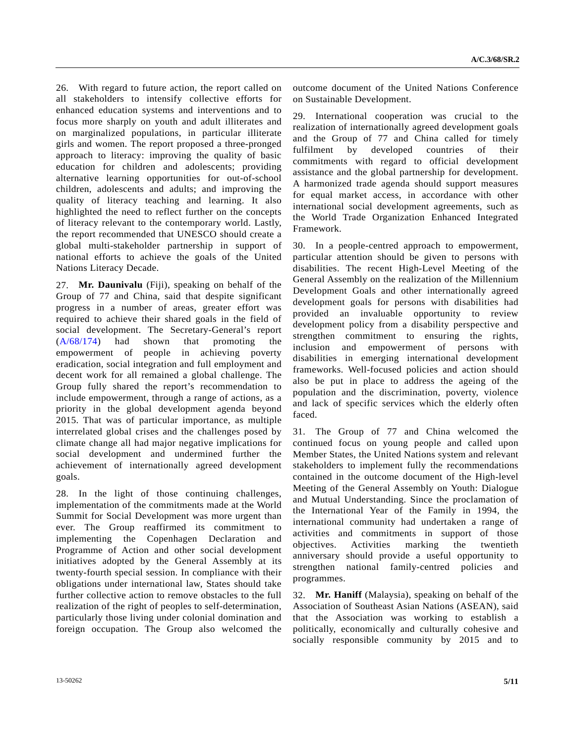26. With regard to future action, the report called on all stakeholders to intensify collective efforts for enhanced education systems and interventions and to focus more sharply on youth and adult illiterates and on marginalized populations, in particular illiterate girls and women. The report proposed a three-pronged approach to literacy: improving the quality of basic education for children and adolescents; providing alternative learning opportunities for out-of-school children, adolescents and adults; and improving the quality of literacy teaching and learning. It also highlighted the need to reflect further on the concepts of literacy relevant to the contemporary world. Lastly, the report recommended that UNESCO should create a global multi-stakeholder partnership in support of national efforts to achieve the goals of the United Nations Literacy Decade.

27. **Mr. Daunivalu** (Fiji), speaking on behalf of the Group of 77 and China, said that despite significant progress in a number of areas, greater effort was required to achieve their shared goals in the field of social development. The Secretary-General's report [\(A/68/174\)](http://undocs.org/A/68/174) had shown that promoting the empowerment of people in achieving poverty eradication, social integration and full employment and decent work for all remained a global challenge. The Group fully shared the report's recommendation to include empowerment, through a range of actions, as a priority in the global development agenda beyond 2015. That was of particular importance, as multiple interrelated global crises and the challenges posed by climate change all had major negative implications for social development and undermined further the achievement of internationally agreed development goals.

28. In the light of those continuing challenges, implementation of the commitments made at the World Summit for Social Development was more urgent than ever. The Group reaffirmed its commitment to implementing the Copenhagen Declaration and Programme of Action and other social development initiatives adopted by the General Assembly at its twenty-fourth special session. In compliance with their obligations under international law, States should take further collective action to remove obstacles to the full realization of the right of peoples to self-determination, particularly those living under colonial domination and foreign occupation. The Group also welcomed the

outcome document of the United Nations Conference on Sustainable Development.

29. International cooperation was crucial to the realization of internationally agreed development goals and the Group of 77 and China called for timely fulfilment by developed countries of their commitments with regard to official development assistance and the global partnership for development. A harmonized trade agenda should support measures for equal market access, in accordance with other international social development agreements, such as the World Trade Organization Enhanced Integrated Framework.

30. In a people-centred approach to empowerment, particular attention should be given to persons with disabilities. The recent High-Level Meeting of the General Assembly on the realization of the Millennium Development Goals and other internationally agreed development goals for persons with disabilities had provided an invaluable opportunity to review development policy from a disability perspective and strengthen commitment to ensuring the rights, inclusion and empowerment of persons with disabilities in emerging international development frameworks. Well-focused policies and action should also be put in place to address the ageing of the population and the discrimination, poverty, violence and lack of specific services which the elderly often faced.

31. The Group of 77 and China welcomed the continued focus on young people and called upon Member States, the United Nations system and relevant stakeholders to implement fully the recommendations contained in the outcome document of the High-level Meeting of the General Assembly on Youth: Dialogue and Mutual Understanding. Since the proclamation of the International Year of the Family in 1994, the international community had undertaken a range of activities and commitments in support of those objectives. Activities marking the twentieth anniversary should provide a useful opportunity to strengthen national family-centred policies and programmes.

32. **Mr. Haniff** (Malaysia), speaking on behalf of the Association of Southeast Asian Nations (ASEAN), said that the Association was working to establish a politically, economically and culturally cohesive and socially responsible community by 2015 and to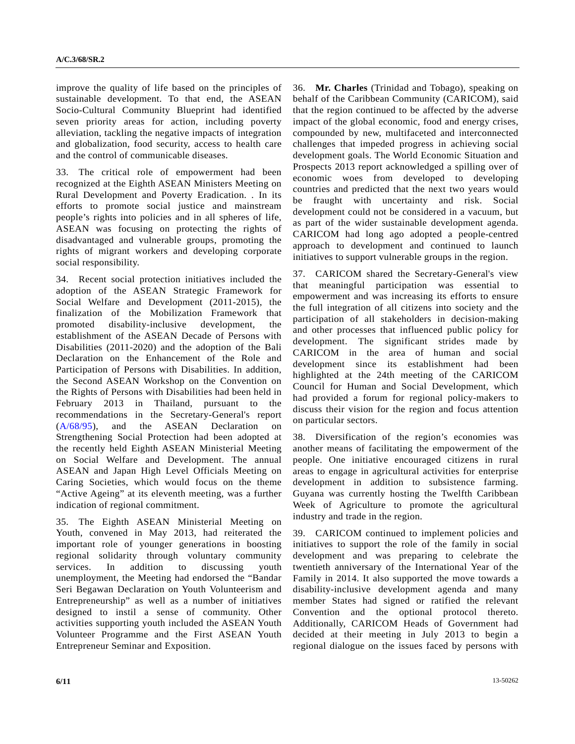improve the quality of life based on the principles of sustainable development. To that end, the ASEAN Socio-Cultural Community Blueprint had identified seven priority areas for action, including poverty alleviation, tackling the negative impacts of integration and globalization, food security, access to health care and the control of communicable diseases.

33. The critical role of empowerment had been recognized at the Eighth ASEAN Ministers Meeting on Rural Development and Poverty Eradication. . In its efforts to promote social justice and mainstream people's rights into policies and in all spheres of life, ASEAN was focusing on protecting the rights of disadvantaged and vulnerable groups, promoting the rights of migrant workers and developing corporate social responsibility.

34. Recent social protection initiatives included the adoption of the ASEAN Strategic Framework for Social Welfare and Development (2011-2015), the finalization of the Mobilization Framework that promoted disability-inclusive development, the establishment of the ASEAN Decade of Persons with Disabilities (2011-2020) and the adoption of the Bali Declaration on the Enhancement of the Role and Participation of Persons with Disabilities. In addition, the Second ASEAN Workshop on the Convention on the Rights of Persons with Disabilities had been held in February 2013 in Thailand, pursuant to the recommendations in the Secretary-General's report [\(A/68/95](http://undocs.org/A/68/95)), and the ASEAN Declaration on Strengthening Social Protection had been adopted at the recently held Eighth ASEAN Ministerial Meeting on Social Welfare and Development. The annual ASEAN and Japan High Level Officials Meeting on Caring Societies, which would focus on the theme "Active Ageing" at its eleventh meeting, was a further indication of regional commitment.

35. The Eighth ASEAN Ministerial Meeting on Youth, convened in May 2013, had reiterated the important role of younger generations in boosting regional solidarity through voluntary community services. In addition to discussing youth unemployment, the Meeting had endorsed the "Bandar Seri Begawan Declaration on Youth Volunteerism and Entrepreneurship" as well as a number of initiatives designed to instil a sense of community. Other activities supporting youth included the ASEAN Youth Volunteer Programme and the First ASEAN Youth Entrepreneur Seminar and Exposition.

36. **Mr. Charles** (Trinidad and Tobago), speaking on behalf of the Caribbean Community (CARICOM), said that the region continued to be affected by the adverse impact of the global economic, food and energy crises, compounded by new, multifaceted and interconnected challenges that impeded progress in achieving social development goals. The World Economic Situation and Prospects 2013 report acknowledged a spilling over of economic woes from developed to developing countries and predicted that the next two years would be fraught with uncertainty and risk. Social development could not be considered in a vacuum, but as part of the wider sustainable development agenda. CARICOM had long ago adopted a people-centred approach to development and continued to launch initiatives to support vulnerable groups in the region.

37. CARICOM shared the Secretary-General's view that meaningful participation was essential to empowerment and was increasing its efforts to ensure the full integration of all citizens into society and the participation of all stakeholders in decision-making and other processes that influenced public policy for development. The significant strides made by CARICOM in the area of human and social development since its establishment had been highlighted at the 24th meeting of the CARICOM Council for Human and Social Development, which had provided a forum for regional policy-makers to discuss their vision for the region and focus attention on particular sectors.

38. Diversification of the region's economies was another means of facilitating the empowerment of the people. One initiative encouraged citizens in rural areas to engage in agricultural activities for enterprise development in addition to subsistence farming. Guyana was currently hosting the Twelfth Caribbean Week of Agriculture to promote the agricultural industry and trade in the region.

39. CARICOM continued to implement policies and initiatives to support the role of the family in social development and was preparing to celebrate the twentieth anniversary of the International Year of the Family in 2014. It also supported the move towards a disability-inclusive development agenda and many member States had signed or ratified the relevant Convention and the optional protocol thereto. Additionally, CARICOM Heads of Government had decided at their meeting in July 2013 to begin a regional dialogue on the issues faced by persons with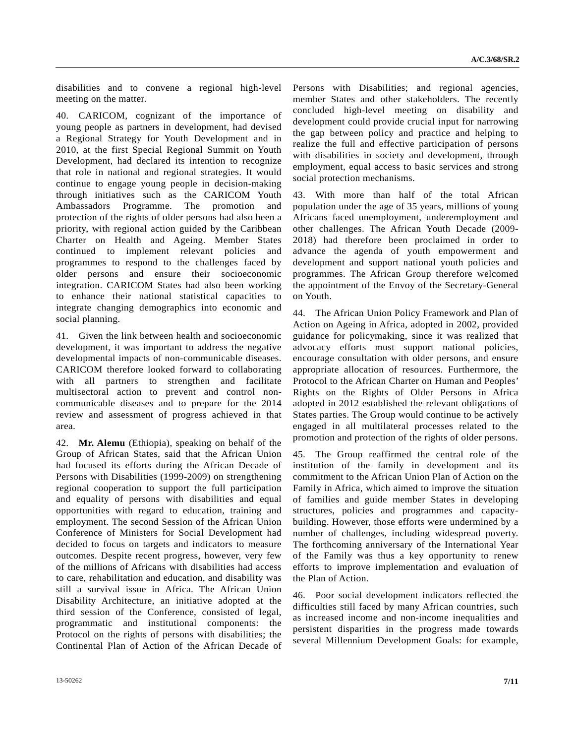disabilities and to convene a regional high-level meeting on the matter.

40. CARICOM, cognizant of the importance of young people as partners in development, had devised a Regional Strategy for Youth Development and in 2010, at the first Special Regional Summit on Youth Development, had declared its intention to recognize that role in national and regional strategies. It would continue to engage young people in decision-making through initiatives such as the CARICOM Youth Ambassadors Programme. The promotion and protection of the rights of older persons had also been a priority, with regional action guided by the Caribbean Charter on Health and Ageing. Member States continued to implement relevant policies and programmes to respond to the challenges faced by older persons and ensure their socioeconomic integration. CARICOM States had also been working to enhance their national statistical capacities to integrate changing demographics into economic and social planning.

41. Given the link between health and socioeconomic development, it was important to address the negative developmental impacts of non-communicable diseases. CARICOM therefore looked forward to collaborating with all partners to strengthen and facilitate multisectoral action to prevent and control noncommunicable diseases and to prepare for the 2014 review and assessment of progress achieved in that area.

42. **Mr. Alemu** (Ethiopia), speaking on behalf of the Group of African States, said that the African Union had focused its efforts during the African Decade of Persons with Disabilities (1999-2009) on strengthening regional cooperation to support the full participation and equality of persons with disabilities and equal opportunities with regard to education, training and employment. The second Session of the African Union Conference of Ministers for Social Development had decided to focus on targets and indicators to measure outcomes. Despite recent progress, however, very few of the millions of Africans with disabilities had access to care, rehabilitation and education, and disability was still a survival issue in Africa. The African Union Disability Architecture, an initiative adopted at the third session of the Conference, consisted of legal, programmatic and institutional components: the Protocol on the rights of persons with disabilities; the Continental Plan of Action of the African Decade of Persons with Disabilities; and regional agencies, member States and other stakeholders. The recently concluded high-level meeting on disability and development could provide crucial input for narrowing the gap between policy and practice and helping to realize the full and effective participation of persons with disabilities in society and development, through employment, equal access to basic services and strong social protection mechanisms.

43. With more than half of the total African population under the age of 35 years, millions of young Africans faced unemployment, underemployment and other challenges. The African Youth Decade (2009- 2018) had therefore been proclaimed in order to advance the agenda of youth empowerment and development and support national youth policies and programmes. The African Group therefore welcomed the appointment of the Envoy of the Secretary-General on Youth.

44. The African Union Policy Framework and Plan of Action on Ageing in Africa, adopted in 2002, provided guidance for policymaking, since it was realized that advocacy efforts must support national policies, encourage consultation with older persons, and ensure appropriate allocation of resources. Furthermore, the Protocol to the African Charter on Human and Peoples' Rights on the Rights of Older Persons in Africa adopted in 2012 established the relevant obligations of States parties. The Group would continue to be actively engaged in all multilateral processes related to the promotion and protection of the rights of older persons.

45. The Group reaffirmed the central role of the institution of the family in development and its commitment to the African Union Plan of Action on the Family in Africa, which aimed to improve the situation of families and guide member States in developing structures, policies and programmes and capacitybuilding. However, those efforts were undermined by a number of challenges, including widespread poverty. The forthcoming anniversary of the International Year of the Family was thus a key opportunity to renew efforts to improve implementation and evaluation of the Plan of Action.

46. Poor social development indicators reflected the difficulties still faced by many African countries, such as increased income and non-income inequalities and persistent disparities in the progress made towards several Millennium Development Goals: for example,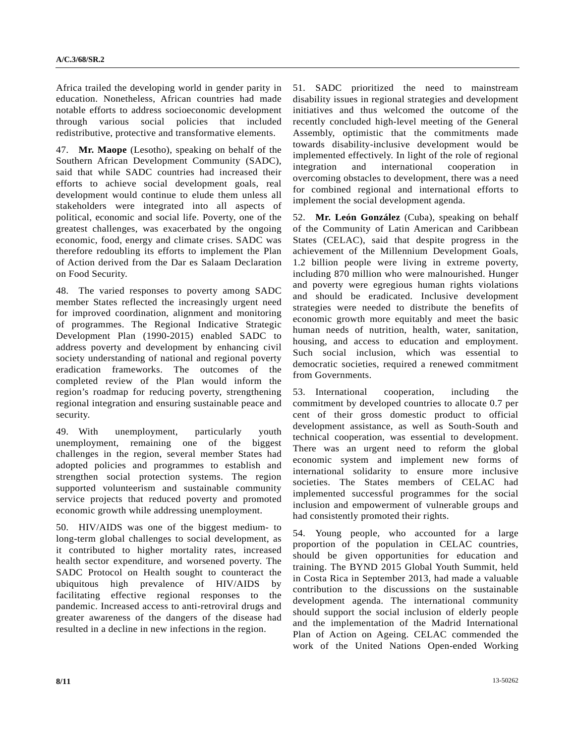Africa trailed the developing world in gender parity in education. Nonetheless, African countries had made notable efforts to address socioeconomic development through various social policies that included redistributive, protective and transformative elements.

47. **Mr. Maope** (Lesotho), speaking on behalf of the Southern African Development Community (SADC), said that while SADC countries had increased their efforts to achieve social development goals, real development would continue to elude them unless all stakeholders were integrated into all aspects of political, economic and social life. Poverty, one of the greatest challenges, was exacerbated by the ongoing economic, food, energy and climate crises. SADC was therefore redoubling its efforts to implement the Plan of Action derived from the Dar es Salaam Declaration on Food Security.

48. The varied responses to poverty among SADC member States reflected the increasingly urgent need for improved coordination, alignment and monitoring of programmes. The Regional Indicative Strategic Development Plan (1990-2015) enabled SADC to address poverty and development by enhancing civil society understanding of national and regional poverty eradication frameworks. The outcomes of the completed review of the Plan would inform the region's roadmap for reducing poverty, strengthening regional integration and ensuring sustainable peace and security.

49. With unemployment, particularly youth unemployment, remaining one of the biggest challenges in the region, several member States had adopted policies and programmes to establish and strengthen social protection systems. The region supported volunteerism and sustainable community service projects that reduced poverty and promoted economic growth while addressing unemployment.

50. HIV/AIDS was one of the biggest medium- to long-term global challenges to social development, as it contributed to higher mortality rates, increased health sector expenditure, and worsened poverty. The SADC Protocol on Health sought to counteract the ubiquitous high prevalence of HIV/AIDS by facilitating effective regional responses to the pandemic. Increased access to anti-retroviral drugs and greater awareness of the dangers of the disease had resulted in a decline in new infections in the region.

51. SADC prioritized the need to mainstream disability issues in regional strategies and development initiatives and thus welcomed the outcome of the recently concluded high-level meeting of the General Assembly, optimistic that the commitments made towards disability-inclusive development would be implemented effectively. In light of the role of regional integration and international cooperation in overcoming obstacles to development, there was a need for combined regional and international efforts to implement the social development agenda.

52. **Mr. León González** (Cuba), speaking on behalf of the Community of Latin American and Caribbean States (CELAC), said that despite progress in the achievement of the Millennium Development Goals, 1.2 billion people were living in extreme poverty, including 870 million who were malnourished. Hunger and poverty were egregious human rights violations and should be eradicated. Inclusive development strategies were needed to distribute the benefits of economic growth more equitably and meet the basic human needs of nutrition, health, water, sanitation, housing, and access to education and employment. Such social inclusion, which was essential to democratic societies, required a renewed commitment from Governments.

53. International cooperation, including the commitment by developed countries to allocate 0.7 per cent of their gross domestic product to official development assistance, as well as South-South and technical cooperation, was essential to development. There was an urgent need to reform the global economic system and implement new forms of international solidarity to ensure more inclusive societies. The States members of CELAC had implemented successful programmes for the social inclusion and empowerment of vulnerable groups and had consistently promoted their rights.

54. Young people, who accounted for a large proportion of the population in CELAC countries, should be given opportunities for education and training. The BYND 2015 Global Youth Summit, held in Costa Rica in September 2013, had made a valuable contribution to the discussions on the sustainable development agenda. The international community should support the social inclusion of elderly people and the implementation of the Madrid International Plan of Action on Ageing. CELAC commended the work of the United Nations Open-ended Working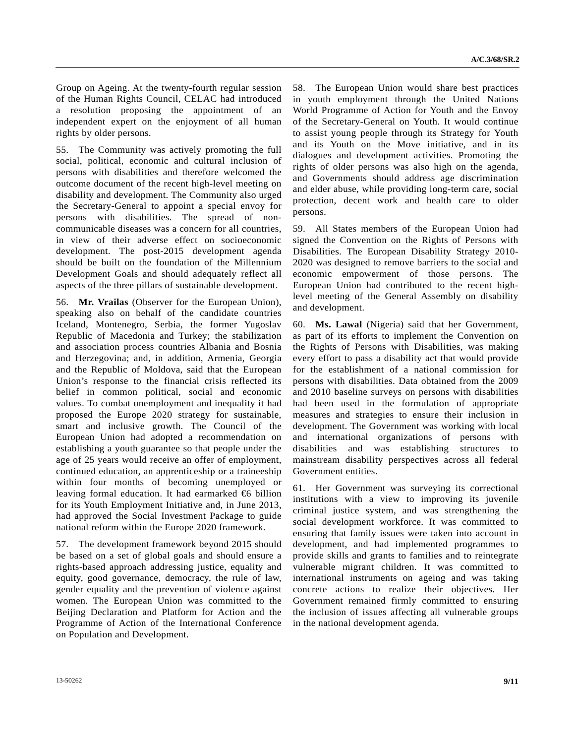Group on Ageing. At the twenty-fourth regular session of the Human Rights Council, CELAC had introduced a resolution proposing the appointment of an independent expert on the enjoyment of all human rights by older persons.

55. The Community was actively promoting the full social, political, economic and cultural inclusion of persons with disabilities and therefore welcomed the outcome document of the recent high-level meeting on disability and development. The Community also urged the Secretary-General to appoint a special envoy for persons with disabilities. The spread of noncommunicable diseases was a concern for all countries, in view of their adverse effect on socioeconomic development. The post-2015 development agenda should be built on the foundation of the Millennium Development Goals and should adequately reflect all aspects of the three pillars of sustainable development.

56. **Mr. Vrailas** (Observer for the European Union), speaking also on behalf of the candidate countries Iceland, Montenegro, Serbia, the former Yugoslav Republic of Macedonia and Turkey; the stabilization and association process countries Albania and Bosnia and Herzegovina; and, in addition, Armenia, Georgia and the Republic of Moldova, said that the European Union's response to the financial crisis reflected its belief in common political, social and economic values. To combat unemployment and inequality it had proposed the Europe 2020 strategy for sustainable, smart and inclusive growth. The Council of the European Union had adopted a recommendation on establishing a youth guarantee so that people under the age of 25 years would receive an offer of employment, continued education, an apprenticeship or a traineeship within four months of becoming unemployed or leaving formal education. It had earmarked  $\epsilon$  billion for its Youth Employment Initiative and, in June 2013, had approved the Social Investment Package to guide national reform within the Europe 2020 framework.

57. The development framework beyond 2015 should be based on a set of global goals and should ensure a rights-based approach addressing justice, equality and equity, good governance, democracy, the rule of law, gender equality and the prevention of violence against women. The European Union was committed to the Beijing Declaration and Platform for Action and the Programme of Action of the International Conference on Population and Development.

58. The European Union would share best practices in youth employment through the United Nations World Programme of Action for Youth and the Envoy of the Secretary-General on Youth. It would continue to assist young people through its Strategy for Youth and its Youth on the Move initiative, and in its dialogues and development activities. Promoting the rights of older persons was also high on the agenda, and Governments should address age discrimination and elder abuse, while providing long-term care, social protection, decent work and health care to older persons.

59. All States members of the European Union had signed the Convention on the Rights of Persons with Disabilities. The European Disability Strategy 2010- 2020 was designed to remove barriers to the social and economic empowerment of those persons. The European Union had contributed to the recent highlevel meeting of the General Assembly on disability and development.

60. **Ms. Lawal** (Nigeria) said that her Government, as part of its efforts to implement the Convention on the Rights of Persons with Disabilities, was making every effort to pass a disability act that would provide for the establishment of a national commission for persons with disabilities. Data obtained from the 2009 and 2010 baseline surveys on persons with disabilities had been used in the formulation of appropriate measures and strategies to ensure their inclusion in development. The Government was working with local and international organizations of persons with disabilities and was establishing structures to mainstream disability perspectives across all federal Government entities.

61. Her Government was surveying its correctional institutions with a view to improving its juvenile criminal justice system, and was strengthening the social development workforce. It was committed to ensuring that family issues were taken into account in development, and had implemented programmes to provide skills and grants to families and to reintegrate vulnerable migrant children. It was committed to international instruments on ageing and was taking concrete actions to realize their objectives. Her Government remained firmly committed to ensuring the inclusion of issues affecting all vulnerable groups in the national development agenda.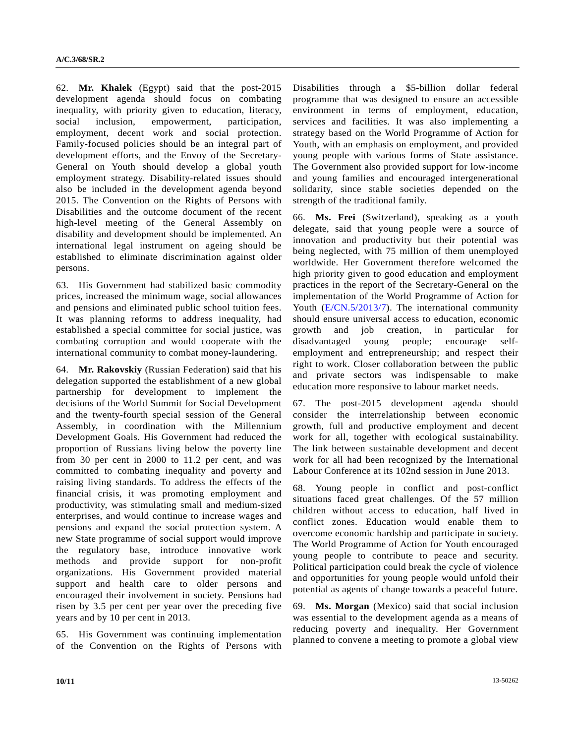62. **Mr. Khalek** (Egypt) said that the post-2015 development agenda should focus on combating inequality, with priority given to education, literacy, social inclusion, empowerment, participation, employment, decent work and social protection. Family-focused policies should be an integral part of development efforts, and the Envoy of the Secretary-General on Youth should develop a global youth employment strategy. Disability-related issues should also be included in the development agenda beyond 2015. The Convention on the Rights of Persons with Disabilities and the outcome document of the recent high-level meeting of the General Assembly on disability and development should be implemented. An international legal instrument on ageing should be established to eliminate discrimination against older persons.

63. His Government had stabilized basic commodity prices, increased the minimum wage, social allowances and pensions and eliminated public school tuition fees. It was planning reforms to address inequality, had established a special committee for social justice, was combating corruption and would cooperate with the international community to combat money-laundering.

64. **Mr. Rakovskiy** (Russian Federation) said that his delegation supported the establishment of a new global partnership for development to implement the decisions of the World Summit for Social Development and the twenty-fourth special session of the General Assembly, in coordination with the Millennium Development Goals. His Government had reduced the proportion of Russians living below the poverty line from 30 per cent in 2000 to 11.2 per cent, and was committed to combating inequality and poverty and raising living standards. To address the effects of the financial crisis, it was promoting employment and productivity, was stimulating small and medium-sized enterprises, and would continue to increase wages and pensions and expand the social protection system. A new State programme of social support would improve the regulatory base, introduce innovative work methods and provide support for non-profit organizations. His Government provided material support and health care to older persons and encouraged their involvement in society. Pensions had risen by 3.5 per cent per year over the preceding five years and by 10 per cent in 2013.

65. His Government was continuing implementation of the Convention on the Rights of Persons with Disabilities through a \$5-billion dollar federal programme that was designed to ensure an accessible environment in terms of employment, education, services and facilities. It was also implementing a strategy based on the World Programme of Action for Youth, with an emphasis on employment, and provided young people with various forms of State assistance. The Government also provided support for low-income and young families and encouraged intergenerational solidarity, since stable societies depended on the strength of the traditional family.

66. **Ms. Frei** (Switzerland), speaking as a youth delegate, said that young people were a source of innovation and productivity but their potential was being neglected, with 75 million of them unemployed worldwide. Her Government therefore welcomed the high priority given to good education and employment practices in the report of the Secretary-General on the implementation of the World Programme of Action for Youth ([E/CN.5/2013/7](http://undocs.org/E/CN.5/2013/7)). The international community should ensure universal access to education, economic growth and job creation, in particular for disadvantaged young people; encourage selfemployment and entrepreneurship; and respect their right to work. Closer collaboration between the public and private sectors was indispensable to make education more responsive to labour market needs.

67. The post-2015 development agenda should consider the interrelationship between economic growth, full and productive employment and decent work for all, together with ecological sustainability. The link between sustainable development and decent work for all had been recognized by the International Labour Conference at its 102nd session in June 2013.

68. Young people in conflict and post-conflict situations faced great challenges. Of the 57 million children without access to education, half lived in conflict zones. Education would enable them to overcome economic hardship and participate in society. The World Programme of Action for Youth encouraged young people to contribute to peace and security. Political participation could break the cycle of violence and opportunities for young people would unfold their potential as agents of change towards a peaceful future.

69. **Ms. Morgan** (Mexico) said that social inclusion was essential to the development agenda as a means of reducing poverty and inequality. Her Government planned to convene a meeting to promote a global view